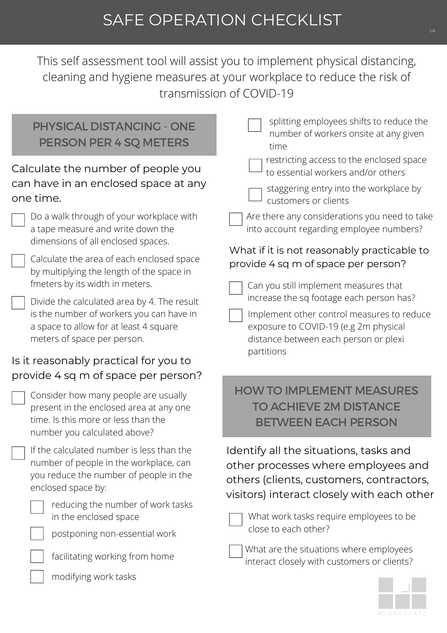This self assessment tool will assist you to implement physical distancing, cleaning and hygiene measures at your workplace to reduce the risk of transmission of COVID-19

| <b>PHYSICAL DISTANCING - ONE</b><br>PERSON PER 4 SQ METERS                                                                                                       | splitting employees shifts to reduce the<br>number of workers onsite at any given<br>time                                                                                              |
|------------------------------------------------------------------------------------------------------------------------------------------------------------------|----------------------------------------------------------------------------------------------------------------------------------------------------------------------------------------|
| Calculate the number of people you<br>can have in an enclosed space at any<br>one time.                                                                          | restricting access to the enclosed space<br>to essential workers and/or others<br>staggering entry into the workplace by<br>customers or clients                                       |
| Do a walk through of your workplace with<br>a tape measure and write down the<br>dimensions of all enclosed spaces.                                              | Are there any considerations you need to take<br>into account regarding employee numbers?                                                                                              |
| Calculate the area of each enclosed space<br>by multiplying the length of the space in<br>fmeters by its width in meters.                                        | What if it is not reasonably practicable to<br>provide 4 sq m of space per person?<br>Can you still implement measures that                                                            |
| Divide the calculated area by 4. The result<br>is the number of workers you can have in<br>a space to allow for at least 4 square<br>meters of space per person. | increase the sq footage each person has?<br>Implement other control measures to reduce<br>exposure to COVID-19 (e.g 2m physical<br>distance between each person or plexi<br>partitions |
| Is it reasonably practical for you to<br>provide 4 sq m of space per person?                                                                                     |                                                                                                                                                                                        |
| Consider how many people are usually<br>present in the enclosed area at any one<br>time. Is this more or less than the<br>number you calculated above?           | <b>HOW TO IMPLEMENT MEASURES</b><br><b>TO ACHIEVE 2M DISTANCE</b><br><b>BETWEEN EACH PERSON</b>                                                                                        |
| If the calculated number is less than the<br>number of people in the workplace, can<br>you reduce the number of people in the<br>enclosed space by:              | Identify all the situations, tasks and<br>other processes where employees and<br>others (clients, customers, contractors,<br>visitors) interact closely with each other                |
| reducing the number of work tasks<br>in the enclosed space<br>postponing non-essential work                                                                      | What work tasks require employees to be<br>close to each other?                                                                                                                        |
| facilitating working from home                                                                                                                                   | What are the situations where employees<br>interact closely with customers or clients?                                                                                                 |
| modifying work tasks                                                                                                                                             |                                                                                                                                                                                        |

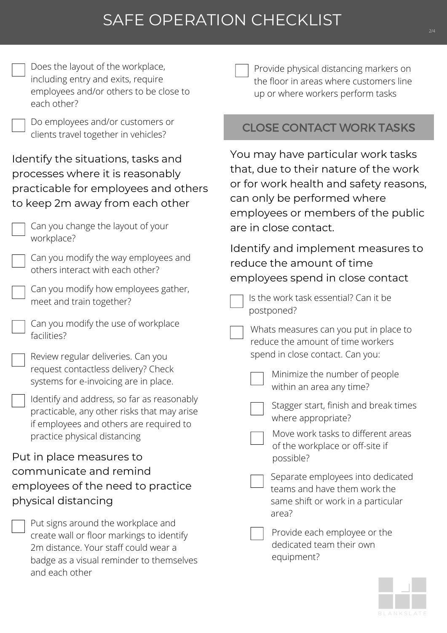# SAFE OPERATION CHECKLIST

| Does the layout of the workplace,<br>including entry and exits, require<br>employees and/or others to be close to<br>each other?                                                       | Provide physical distancing markers on<br>the floor in areas where customers line<br>up or where workers perform tasks                                                                                              |
|----------------------------------------------------------------------------------------------------------------------------------------------------------------------------------------|---------------------------------------------------------------------------------------------------------------------------------------------------------------------------------------------------------------------|
| Do employees and/or customers or<br>clients travel together in vehicles?                                                                                                               | <b>CLOSE CONTACT WORK TASKS</b>                                                                                                                                                                                     |
| Identify the situations, tasks and<br>processes where it is reasonably<br>practicable for employees and others<br>to keep 2m away from each other<br>Can you change the layout of your | You may have particular work tasks<br>that, due to their nature of the work<br>or for work health and safety reasons,<br>can only be performed where<br>employees or members of the public<br>are in close contact. |
| workplace?<br>Can you modify the way employees and<br>others interact with each other?<br>Can you modify how employees gather,<br>meet and train together?                             | Identify and implement measures to<br>reduce the amount of time<br>employees spend in close contact<br>Is the work task essential? Can it be                                                                        |
| Can you modify the use of workplace<br>facilities?<br>Review regular deliveries. Can you<br>request contactless delivery? Check<br>systems for e-invoicing are in place.               | postponed?<br>Whats measures can you put in place to<br>reduce the amount of time workers<br>spend in close contact. Can you:<br>Minimize the number of people                                                      |
| Identify and address, so far as reasonably<br>practicable, any other risks that may arise<br>if employees and others are required to<br>practice physical distancing                   | within an area any time?<br>Stagger start, finish and break times<br>where appropriate?<br>Move work tasks to different areas<br>of the workplace or off-site if                                                    |
| Put in place measures to<br>communicate and remind<br>employees of the need to practice<br>physical distancing                                                                         | possible?<br>Separate employees into dedicated<br>teams and have them work the<br>same shift or work in a particular<br>area?                                                                                       |
| Put signs around the workplace and<br>create wall or floor markings to identify<br>2m distance. Your staff could wear a<br>badge as a visual reminder to themselves<br>and each other  | Provide each employee or the<br>dedicated team their own<br>equipment?                                                                                                                                              |

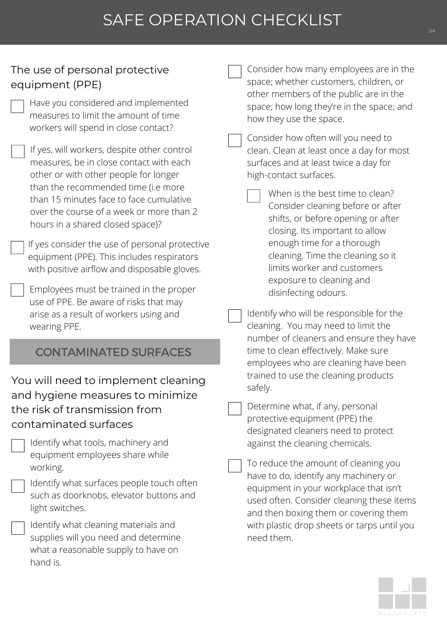### SAFE OPERATION CHECKLIST

#### The use of personal protective equipment (PPE)

Have you considered and implemented measures to limit the amount of time workers will spend in close contact?

If yes, will workers, despite other control measures, be in close contact with each other or with other people for longer than the recommended time (i.e more than 15 minutes face to face cumulative over the course of a week or more than 2 hours in a shared closed space)?

If yes consider the use of personal protective equipment (PPE). This includes respirators with positive airflow and disposable gloves.

Employees must be trained in the proper use of PPE. Be aware of risks that may arise as a result of workers using and wearing PPE.

#### CONTAMINATED SURFACES

You will need to implement cleaning and hygiene measures to minimize the risk of transmission from contaminated surfaces

| Identify what tools, machinery and |
|------------------------------------|
| equipment employees share while    |
| working.                           |

Identify what surfaces people touch often such as doorknobs, elevator buttons and light switches.

Identify what cleaning materials and supplies will you need and determine what a reasonable supply to have on hand is.

Consider how many employees are in the space; whether customers, children, or other members of the public are in the space; how long they're in the space; and how they use the space.

Consider how often will you need to clean. Clean at least once a day for most surfaces and at least twice a day for high-contact surfaces.

When is the best time to clean? Consider cleaning before or after shifts, or before opening or after closing. Its important to allow enough time for a thorough cleaning. Time the cleaning so it limits worker and customers exposure to cleaning and disinfecting odours.

Identify who will be responsible for the cleaning. You may need to limit the number of cleaners and ensure they have time to clean effectively. Make sure employees who are cleaning have been trained to use the cleaning products safely.

Determine what, if any, personal protective equipment (PPE) the designated cleaners need to protect against the cleaning chemicals.

To reduce the amount of cleaning you have to do, identify any machinery or equipment in your workplace that isn't used often. Consider cleaning these items and then boxing them or covering them with plastic drop sheets or tarps until you need them.